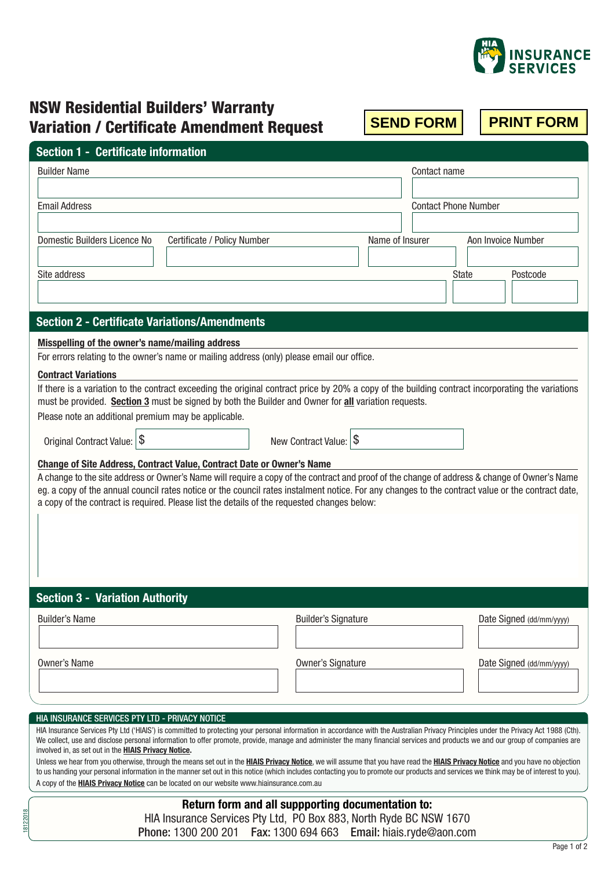

## NSW Residential Builders' Warranty Variation / Certificate Amendment Request

# Builder Name Contact name Contact name Contact name Contact name Contact name Contact name **Section 1 - Certificate information**

| Domestic Builders Licence No | Certificate / Policy Number | Name of Insurer | Aon Invoice Number |
|------------------------------|-----------------------------|-----------------|--------------------|
| Site address                 |                             |                 | State<br>Postcode  |
|                              |                             |                 |                    |

Email Address Contact Phone Number

#### **Misspelling of the owner's name/mailing address**

| For errors relating to the owner's name or mailing address (only) please email our office. |  |  |
|--------------------------------------------------------------------------------------------|--|--|
|--------------------------------------------------------------------------------------------|--|--|

#### **Contract Variations**

| If there is a variation to the contract exceeding the original contract price by 20% a copy of the building contract incorporating the variations |
|---------------------------------------------------------------------------------------------------------------------------------------------------|
| must be provided. Section 3 must be signed by both the Builder and Owner for all variation requests.                                              |

Please note an additional premium may be applicable.

Original Contract Value:  $\frac{1}{3}$  New Contract Value:  $\frac{1}{3}$ 

#### **Change of Site Address, Contract Value, Contract Date or Owner's Name**

A change to the site address or Owner's Name will require a copy of the contract and proof of the change of address & change of Owner's Name eg. a copy of the annual council rates notice or the council rates instalment notice. For any changes to the contract value or the contract date, a copy of the contract is required. Please list the details of the requested changes below:

**Section 3 - Variation Authority**

| <b>Builder's Signature</b> | Date Signed (dd/mm/yyyy) |
|----------------------------|--------------------------|
|                            |                          |
| <b>Owner's Signature</b>   | Date Signed (dd/mm/yyyy) |
|                            |                          |
|                            |                          |

#### HIA INSURANCE SERVICES PTY LTD - PRIVACY NOTICE

18122018

HIA Insurance Services Pty Ltd ('HIAIS') is committed to protecting your personal information in accordance with the Australian Privacy Principles under the Privacy Act 1988 (Cth). We collect, use and disclose personal information to offer promote, provide, manage and administer the many financial services and products we and our group of companies are involved in, as set out in the **HIAIS Privacy Notice.**

Unless we hear from you otherwise, through the means set out in the **HIAIS Privacy Notice**, we will assume that you have read the **HIAIS Privacy Notice** and you have no objection to us handing your personal information in the manner set out in this notice (which includes contacting you to promote our products and services we think may be of interest to you). A copy of the **HIAIS Privacy Notice** can be located on our website www.hiainsurance.com.au

> **Return form and all suppporting documentation to:** HIA Insurance Services Pty Ltd, PO Box 883, North Ryde BC NSW 1670 Phone: 1300 200 201 Fax: 1300 694 663 Email: hiais.ryde@aon.com